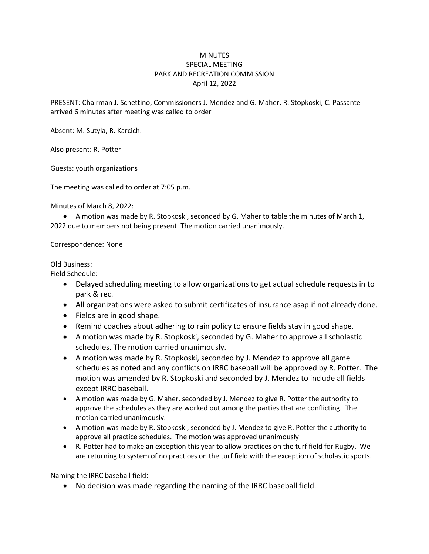## **MINUTES** SPECIAL MEETING PARK AND RECREATION COMMISSION April 12, 2022

PRESENT: Chairman J. Schettino, Commissioners J. Mendez and G. Maher, R. Stopkoski, C. Passante arrived 6 minutes after meeting was called to order

Absent: M. Sutyla, R. Karcich.

Also present: R. Potter

Guests: youth organizations

The meeting was called to order at 7:05 p.m.

Minutes of March 8, 2022:

 A motion was made by R. Stopkoski, seconded by G. Maher to table the minutes of March 1, 2022 due to members not being present. The motion carried unanimously.

Correspondence: None

Old Business:

Field Schedule:

- Delayed scheduling meeting to allow organizations to get actual schedule requests in to park & rec.
- All organizations were asked to submit certificates of insurance asap if not already done.
- Fields are in good shape.
- Remind coaches about adhering to rain policy to ensure fields stay in good shape.
- A motion was made by R. Stopkoski, seconded by G. Maher to approve all scholastic schedules. The motion carried unanimously.
- A motion was made by R. Stopkoski, seconded by J. Mendez to approve all game schedules as noted and any conflicts on IRRC baseball will be approved by R. Potter. The motion was amended by R. Stopkoski and seconded by J. Mendez to include all fields except IRRC baseball.
- A motion was made by G. Maher, seconded by J. Mendez to give R. Potter the authority to approve the schedules as they are worked out among the parties that are conflicting. The motion carried unanimously.
- A motion was made by R. Stopkoski, seconded by J. Mendez to give R. Potter the authority to approve all practice schedules. The motion was approved unanimously
- R. Potter had to make an exception this year to allow practices on the turf field for Rugby. We are returning to system of no practices on the turf field with the exception of scholastic sports.

Naming the IRRC baseball field:

No decision was made regarding the naming of the IRRC baseball field.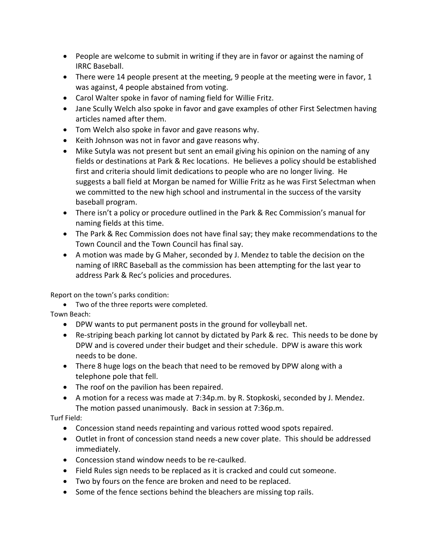- People are welcome to submit in writing if they are in favor or against the naming of IRRC Baseball.
- There were 14 people present at the meeting, 9 people at the meeting were in favor, 1 was against, 4 people abstained from voting.
- Carol Walter spoke in favor of naming field for Willie Fritz.
- Jane Scully Welch also spoke in favor and gave examples of other First Selectmen having articles named after them.
- Tom Welch also spoke in favor and gave reasons why.
- Keith Johnson was not in favor and gave reasons why.
- Mike Sutyla was not present but sent an email giving his opinion on the naming of any fields or destinations at Park & Rec locations. He believes a policy should be established first and criteria should limit dedications to people who are no longer living. He suggests a ball field at Morgan be named for Willie Fritz as he was First Selectman when we committed to the new high school and instrumental in the success of the varsity baseball program.
- There isn't a policy or procedure outlined in the Park & Rec Commission's manual for naming fields at this time.
- The Park & Rec Commission does not have final say; they make recommendations to the Town Council and the Town Council has final say.
- A motion was made by G Maher, seconded by J. Mendez to table the decision on the naming of IRRC Baseball as the commission has been attempting for the last year to address Park & Rec's policies and procedures.

Report on the town's parks condition:

 Two of the three reports were completed. Town Beach:

- DPW wants to put permanent posts in the ground for volleyball net.
- Re-striping beach parking lot cannot by dictated by Park & rec. This needs to be done by DPW and is covered under their budget and their schedule. DPW is aware this work needs to be done.
- There 8 huge logs on the beach that need to be removed by DPW along with a telephone pole that fell.
- The roof on the pavilion has been repaired.
- A motion for a recess was made at 7:34p.m. by R. Stopkoski, seconded by J. Mendez. The motion passed unanimously. Back in session at 7:36p.m.

Turf Field:

- Concession stand needs repainting and various rotted wood spots repaired.
- Outlet in front of concession stand needs a new cover plate. This should be addressed immediately.
- Concession stand window needs to be re-caulked.
- Field Rules sign needs to be replaced as it is cracked and could cut someone.
- Two by fours on the fence are broken and need to be replaced.
- Some of the fence sections behind the bleachers are missing top rails.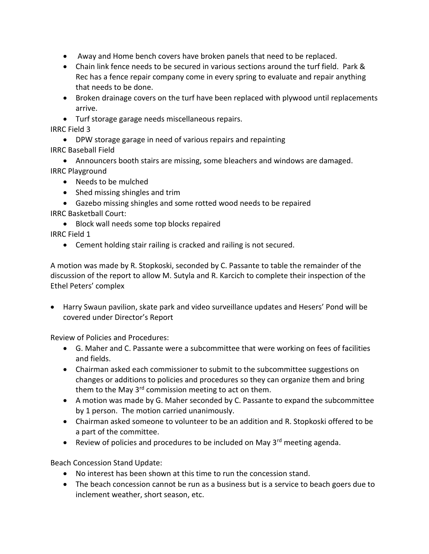- Away and Home bench covers have broken panels that need to be replaced.
- Chain link fence needs to be secured in various sections around the turf field. Park & Rec has a fence repair company come in every spring to evaluate and repair anything that needs to be done.
- Broken drainage covers on the turf have been replaced with plywood until replacements arrive.
- Turf storage garage needs miscellaneous repairs.

IRRC Field 3

- DPW storage garage in need of various repairs and repainting IRRC Baseball Field
- Announcers booth stairs are missing, some bleachers and windows are damaged. IRRC Playground
	- Needs to be mulched
	- Shed missing shingles and trim
- Gazebo missing shingles and some rotted wood needs to be repaired IRRC Basketball Court:
	- Block wall needs some top blocks repaired
- IRRC Field 1
	- Cement holding stair railing is cracked and railing is not secured.

A motion was made by R. Stopkoski, seconded by C. Passante to table the remainder of the discussion of the report to allow M. Sutyla and R. Karcich to complete their inspection of the Ethel Peters' complex

 Harry Swaun pavilion, skate park and video surveillance updates and Hesers' Pond will be covered under Director's Report

Review of Policies and Procedures:

- G. Maher and C. Passante were a subcommittee that were working on fees of facilities and fields.
- Chairman asked each commissioner to submit to the subcommittee suggestions on changes or additions to policies and procedures so they can organize them and bring them to the May  $3<sup>rd</sup>$  commission meeting to act on them.
- A motion was made by G. Maher seconded by C. Passante to expand the subcommittee by 1 person. The motion carried unanimously.
- Chairman asked someone to volunteer to be an addition and R. Stopkoski offered to be a part of the committee.
- **•** Review of policies and procedures to be included on May  $3^{rd}$  meeting agenda.

Beach Concession Stand Update:

- No interest has been shown at this time to run the concession stand.
- The beach concession cannot be run as a business but is a service to beach goers due to inclement weather, short season, etc.